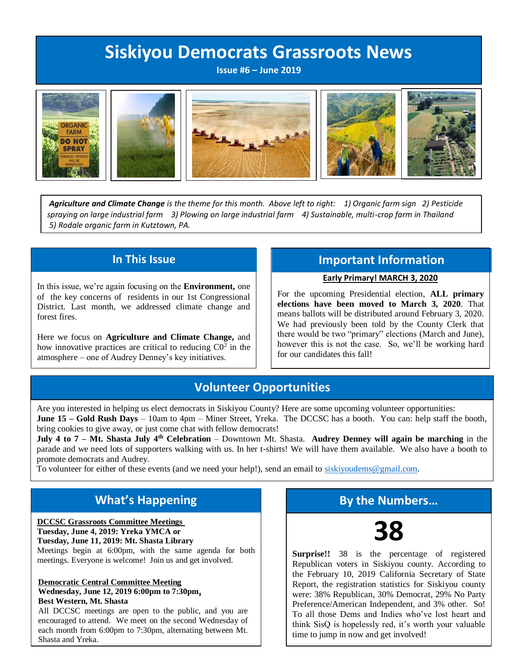# **Siskiyou Democrats Grassroots News**

**Issue #6 – June 2019**











*Agriculture and Climate Change is the theme for this month. Above left to right: 1) Organic farm sign 2) Pesticide spraying on large industrial farm 3) Plowing on large industrial farm 4) Sustainable, multi-crop farm in Thailand 5) Rodale organic farm in Kutztown, PA.*

### **In This Issue**

In this issue, we're again focusing on the **Environment,** one of the key concerns of residents in our 1st Congressional District. Last month, we addressed climate change and forest fires.

Here we focus on **Agriculture and Climate Change,** and how innovative practices are critical to reducing  $CO<sup>2</sup>$  in the atmosphere – one of Audrey Denney's key initiatives.

### **Important Information**

#### **Early Primary! MARCH 3, 2020**

For the upcoming Presidential election, **ALL primary elections have been moved to March 3, 2020**. That means ballots will be distributed around February 3, 2020. We had previously been told by the County Clerk that there would be two "primary" elections (March and June), however this is not the case. So, we'll be working hard for our candidates this fall!

### **Volunteer Opportunities**

Are you interested in helping us elect democrats in Siskiyou County? Here are some upcoming volunteer opportunities:

**June 15 – Gold Rush Days** – 10am to 4pm – Miner Street, Yreka. The DCCSC has a booth. You can: help staff the booth, bring cookies to give away, or just come chat with fellow democrats!

**July 4 to 7 – Mt. Shasta July 4th Celebration** – Downtown Mt. Shasta. **Audrey Denney will again be marching** in the parade and we need lots of supporters walking with us. In her t-shirts! We will have them available. We also have a booth to promote democrats and Audrey.

To volunteer for either of these events (and we need your help!), send an email to [siskiyoudems@gmail.com.](mailto:siskiyoudems@gmail.com)

## **What's Happening**

**DCCSC Grassroots Committee Meetings Tuesday, June 4, 2019: Yreka YMCA or Tuesday, June 11, 2019: Mt. Shasta Library** 

Meetings begin at 6:00pm, with the same agenda for both meetings. Everyone is welcome! Join us and get involved.

# **Democratic Central Committee Meeting**

**Wednesday, June 12, 2019 6:00pm to 7:30pm, Best Western, Mt. Shasta**

All DCCSC meetings are open to the public, and you are encouraged to attend. We meet on the second Wednesday of each month from 6:00pm to 7:30pm, alternating between Mt. Shasta and Yreka.

# **By the Numbers…**



**Surprise!!** 38 is the percentage of registered Republican voters in Siskiyou county. According to the February 10, 2019 California Secretary of State Report, the registration statistics for Siskiyou county were: 38% Republican, 30% Democrat, 29% No Party Preference/American Independent, and 3% other. So! To all those Dems and Indies who've lost heart and think SisQ is hopelessly red, it's worth your valuable time to jump in now and get involved!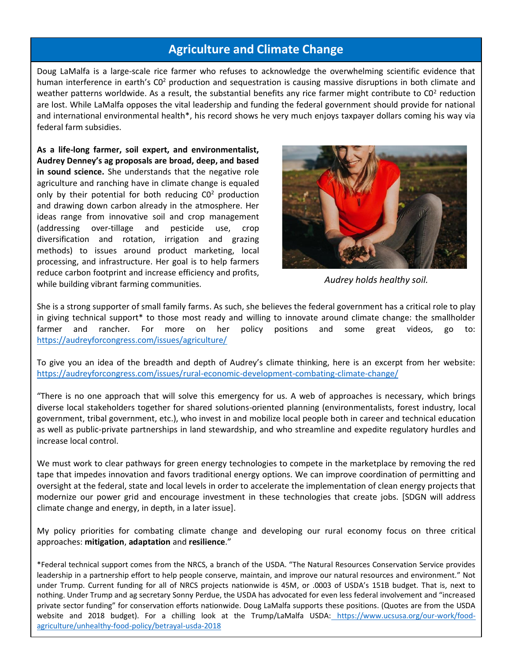### **Agriculture and Climate Change**

Doug LaMalfa is a large-scale rice farmer who refuses to acknowledge the overwhelming scientific evidence that human interference in earth's CO<sup>2</sup> production and sequestration is causing massive disruptions in both climate and weather patterns worldwide. As a result, the substantial benefits any rice farmer might contribute to  $CO<sup>2</sup>$  reduction are lost. While LaMalfa opposes the vital leadership and funding the federal government should provide for national and international environmental health\*, his record shows he very much enjoys taxpayer dollars coming his way via federal farm subsidies.

**As a life-long farmer, soil expert, and environmentalist, Audrey Denney's ag proposals are broad, deep, and based in sound science.** She understands that the negative role agriculture and ranching have in climate change is equaled only by their potential for both reducing C0<sup>2</sup> production and drawing down carbon already in the atmosphere. Her ideas range from innovative soil and crop management (addressing over-tillage and pesticide use, crop diversification and rotation, irrigation and grazing methods) to issues around product marketing, local processing, and infrastructure. Her goal is to help farmers reduce carbon footprint and increase efficiency and profits, while building vibrant farming communities.



*Audrey holds healthy soil.*

She is a strong supporter of small family farms. As such, she believes the federal government has a critical role to play in giving technical support\* to those most ready and willing to innovate around climate change: the smallholder farmer and rancher. For more on her policy positions and some great videos, go to: <https://audreyforcongress.com/issues/agriculture/>

To give you an idea of the breadth and depth of Audrey's climate thinking, here is an excerpt from her website: <https://audreyforcongress.com/issues/rural-economic-development-combating-climate-change/>

"There is no one approach that will solve this emergency for us. A web of approaches is necessary, which brings diverse local stakeholders together for shared solutions-oriented planning (environmentalists, forest industry, local government, tribal government, etc.), who invest in and mobilize local people both in career and technical education as well as public-private partnerships in land stewardship, and who streamline and expedite regulatory hurdles and increase local control.

We must work to clear pathways for green energy technologies to compete in the marketplace by removing the red tape that impedes innovation and favors traditional energy options. We can improve coordination of permitting and oversight at the federal, state and local levels in order to accelerate the implementation of clean energy projects that modernize our power grid and encourage investment in these technologies that create jobs. [SDGN will address climate change and energy, in depth, in a later issue].

My policy priorities for combating climate change and developing our rural economy focus on three critical approaches: **mitigation**, **adaptation** and **resilience**."

\*Federal technical support comes from the NRCS, a branch of the USDA. "The Natural Resources Conservation Service provides leadership in a partnership effort to help people conserve, maintain, and improve our natural resources and environment." Not under Trump. Current funding for all of NRCS projects nationwide is 45M, or .0003 of USDA's 151B budget. That is, next to nothing. Under Trump and ag secretary Sonny Perdue, the USDA has advocated for even less federal involvement and "increased private sector funding" for conservation efforts nationwide. Doug LaMalfa supports these positions. (Quotes are from the USDA website and 2018 budget). For a chilling look at the Trump/LaMalfa USDA: [https://www.ucsusa.org/our-work/food](https://www.ucsusa.org/our-work/food-agriculture/unhealthy-food-policy/betrayal-usda-2018)[agriculture/unhealthy-food-policy/betrayal-usda-2018](https://www.ucsusa.org/our-work/food-agriculture/unhealthy-food-policy/betrayal-usda-2018)